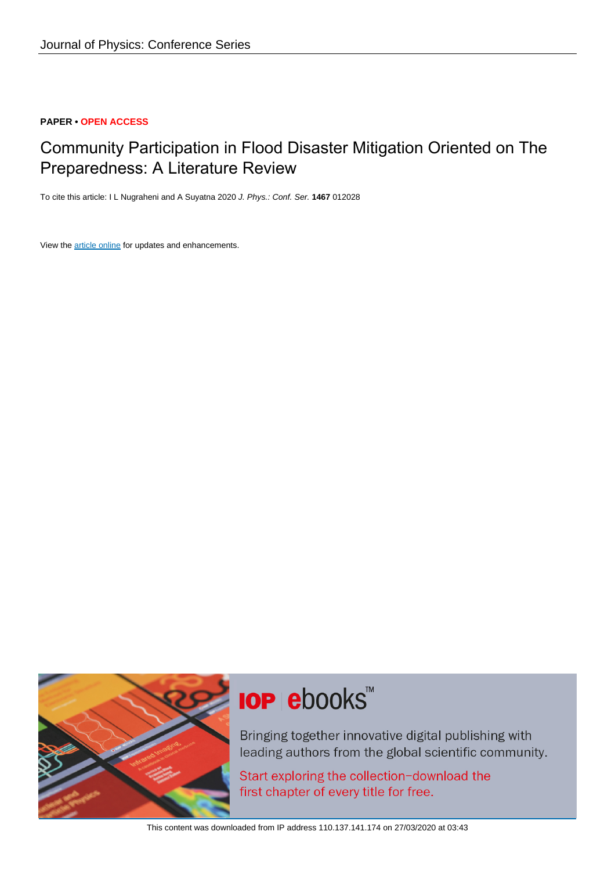#### **PAPER • OPEN ACCESS**

## Community Participation in Flood Disaster Mitigation Oriented on The Preparedness: A Literature Review

To cite this article: I L Nugraheni and A Suyatna 2020 J. Phys.: Conf. Ser. **1467** 012028

View the [article online](https://doi.org/10.1088/1742-6596/1467/1/012028) for updates and enhancements.



# **IOP ebooks**™

Bringing together innovative digital publishing with leading authors from the global scientific community.

Start exploring the collection-download the first chapter of every title for free.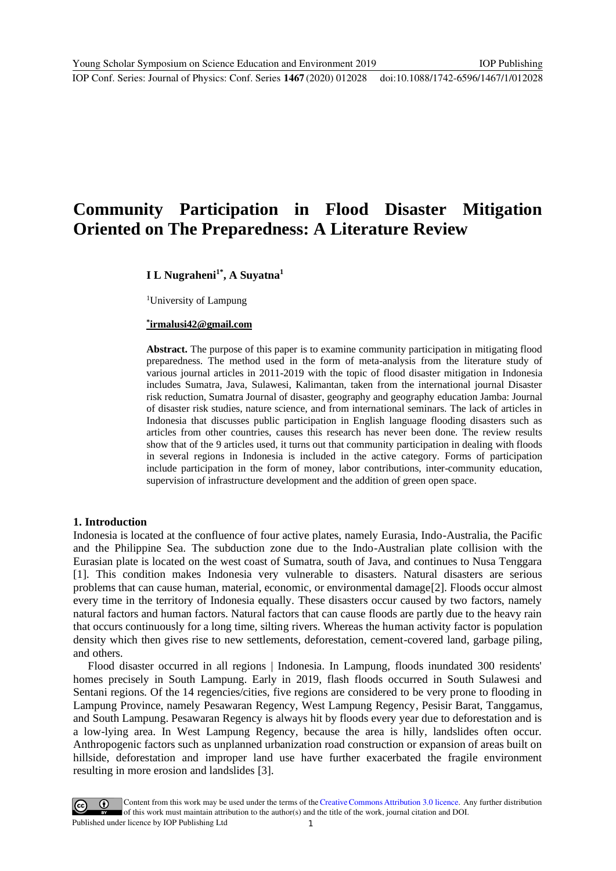IOP Conf. Series: Journal of Physics: Conf. Series **1467** (2020) 012028 doi:10.1088/1742-6596/1467/1/012028

# **Community Participation in Flood Disaster Mitigation Oriented on The Preparedness: A Literature Review**

**I L Nugraheni1\* , A Suyatna<sup>1</sup>**

<sup>1</sup>University of Lampung

#### **\* [irmalusi42@gmail.com](mailto:*irmalusi42@gmail.com)**

**Abstract.** The purpose of this paper is to examine community participation in mitigating flood preparedness. The method used in the form of meta-analysis from the literature study of various journal articles in 2011-2019 with the topic of flood disaster mitigation in Indonesia includes Sumatra, Java, Sulawesi, Kalimantan, taken from the international journal Disaster risk reduction, Sumatra Journal of disaster, geography and geography education Jamba: Journal of disaster risk studies, nature science, and from international seminars. The lack of articles in Indonesia that discusses public participation in English language flooding disasters such as articles from other countries, causes this research has never been done. The review results show that of the 9 articles used, it turns out that community participation in dealing with floods in several regions in Indonesia is included in the active category. Forms of participation include participation in the form of money, labor contributions, inter-community education, supervision of infrastructure development and the addition of green open space.

#### **1. Introduction**

Indonesia is located at the confluence of four active plates, namely Eurasia, Indo-Australia, the Pacific and the Philippine Sea. The subduction zone due to the Indo-Australian plate collision with the Eurasian plate is located on the west coast of Sumatra, south of Java, and continues to Nusa Tenggara [1]. This condition makes Indonesia very vulnerable to disasters. Natural disasters are serious problems that can cause human, material, economic, or environmental damage[2]. Floods occur almost every time in the territory of Indonesia equally. These disasters occur caused by two factors, namely natural factors and human factors. Natural factors that can cause floods are partly due to the heavy rain that occurs continuously for a long time, silting rivers. Whereas the human activity factor is population density which then gives rise to new settlements, deforestation, cement-covered land, garbage piling, and others.

Flood disaster occurred in all regions | Indonesia. In Lampung, floods inundated 300 residents' homes precisely in South Lampung. Early in 2019, flash floods occurred in South Sulawesi and Sentani regions. Of the 14 regencies/cities, five regions are considered to be very prone to flooding in Lampung Province, namely Pesawaran Regency, West Lampung Regency, Pesisir Barat, Tanggamus, and South Lampung. Pesawaran Regency is always hit by floods every year due to deforestation and is a low-lying area. In West Lampung Regency, because the area is hilly, landslides often occur. Anthropogenic factors such as unplanned urbanization road construction or expansion of areas built on hillside, deforestation and improper land use have further exacerbated the fragile environment resulting in more erosion and landslides [3].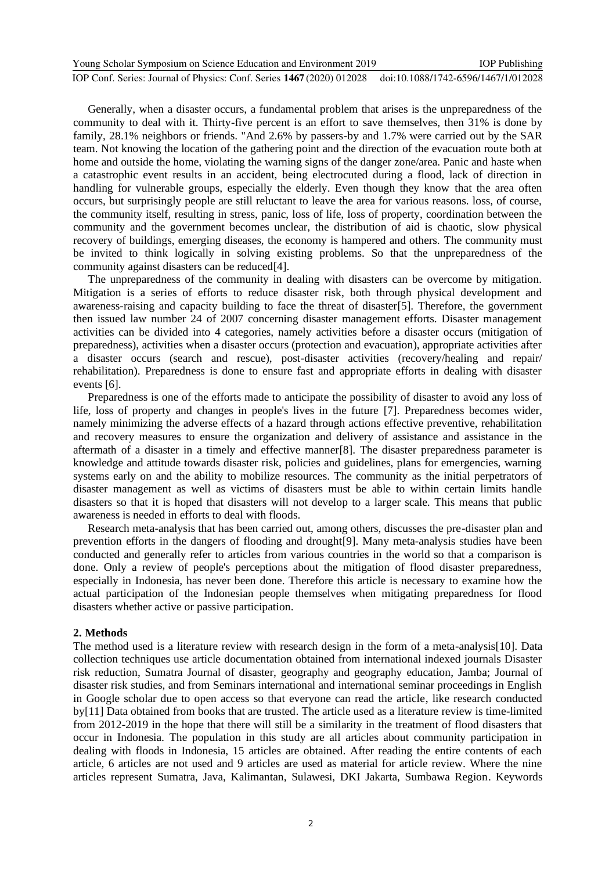| Young Scholar Symposium on Science Education and Environment 2019                                         | <b>IOP</b> Publishing |
|-----------------------------------------------------------------------------------------------------------|-----------------------|
| IOP Conf. Series: Journal of Physics: Conf. Series 1467 (2020) 012028 doi:10.1088/1742-6596/1467/1/012028 |                       |

Generally, when a disaster occurs, a fundamental problem that arises is the unpreparedness of the community to deal with it. Thirty-five percent is an effort to save themselves, then 31% is done by family, 28.1% neighbors or friends. "And 2.6% by passers-by and 1.7% were carried out by the SAR team. Not knowing the location of the gathering point and the direction of the evacuation route both at home and outside the home, violating the warning signs of the danger zone/area. Panic and haste when a catastrophic event results in an accident, being electrocuted during a flood, lack of direction in handling for vulnerable groups, especially the elderly. Even though they know that the area often occurs, but surprisingly people are still reluctant to leave the area for various reasons. loss, of course, the community itself, resulting in stress, panic, loss of life, loss of property, coordination between the community and the government becomes unclear, the distribution of aid is chaotic, slow physical recovery of buildings, emerging diseases, the economy is hampered and others. The community must be invited to think logically in solving existing problems. So that the unpreparedness of the community against disasters can be reduced[4].

The unpreparedness of the community in dealing with disasters can be overcome by mitigation. Mitigation is a series of efforts to reduce disaster risk, both through physical development and awareness-raising and capacity building to face the threat of disaster[5]. Therefore, the government then issued law number 24 of 2007 concerning disaster management efforts. Disaster management activities can be divided into 4 categories, namely activities before a disaster occurs (mitigation of preparedness), activities when a disaster occurs (protection and evacuation), appropriate activities after a disaster occurs (search and rescue), post-disaster activities (recovery/healing and repair/ rehabilitation). Preparedness is done to ensure fast and appropriate efforts in dealing with disaster events [6].

Preparedness is one of the efforts made to anticipate the possibility of disaster to avoid any loss of life, loss of property and changes in people's lives in the future [7]. Preparedness becomes wider, namely minimizing the adverse effects of a hazard through actions effective preventive, rehabilitation and recovery measures to ensure the organization and delivery of assistance and assistance in the aftermath of a disaster in a timely and effective manner[8]. The disaster preparedness parameter is knowledge and attitude towards disaster risk, policies and guidelines, plans for emergencies, warning systems early on and the ability to mobilize resources. The community as the initial perpetrators of disaster management as well as victims of disasters must be able to within certain limits handle disasters so that it is hoped that disasters will not develop to a larger scale. This means that public awareness is needed in efforts to deal with floods.

Research meta-analysis that has been carried out, among others, discusses the pre-disaster plan and prevention efforts in the dangers of flooding and drought[9]. Many meta-analysis studies have been conducted and generally refer to articles from various countries in the world so that a comparison is done. Only a review of people's perceptions about the mitigation of flood disaster preparedness, especially in Indonesia, has never been done. Therefore this article is necessary to examine how the actual participation of the Indonesian people themselves when mitigating preparedness for flood disasters whether active or passive participation.

#### **2. Methods**

The method used is a literature review with research design in the form of a meta-analysis[10]. Data collection techniques use article documentation obtained from international indexed journals Disaster risk reduction, Sumatra Journal of disaster, geography and geography education, Jamba; Journal of disaster risk studies, and from Seminars international and international seminar proceedings in English in Google scholar due to open access so that everyone can read the article, like research conducted by[11] Data obtained from books that are trusted. The article used as a literature review is time-limited from 2012-2019 in the hope that there will still be a similarity in the treatment of flood disasters that occur in Indonesia. The population in this study are all articles about community participation in dealing with floods in Indonesia, 15 articles are obtained. After reading the entire contents of each article, 6 articles are not used and 9 articles are used as material for article review. Where the nine articles represent Sumatra, Java, Kalimantan, Sulawesi, DKI Jakarta, Sumbawa Region. Keywords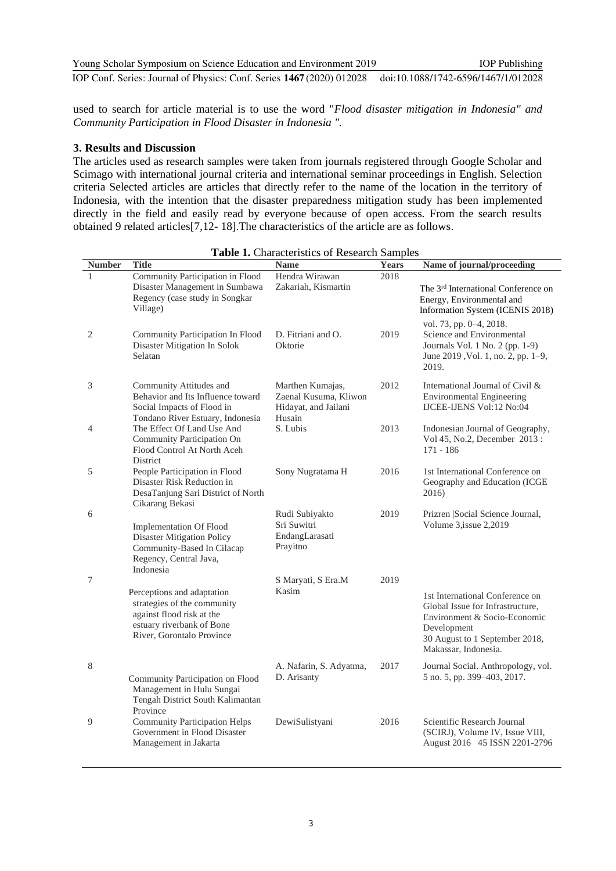used to search for article material is to use the word "*Flood disaster mitigation in Indonesia" and Community Participation in Flood Disaster in Indonesia ".*

### **3. Results and Discussion**

The articles used as research samples were taken from journals registered through Google Scholar and Scimago with international journal criteria and international seminar proceedings in English. Selection criteria Selected articles are articles that directly refer to the name of the location in the territory of Indonesia, with the intention that the disaster preparedness mitigation study has been implemented directly in the field and easily read by everyone because of open access. From the search results obtained 9 related articles[7,12- 18].The characteristics of the article are as follows.

| <b>Table 1.</b> Characteristics of Research Samples |                                                                                                                                                  |                                                                             |       |                                                                                                                                                                              |
|-----------------------------------------------------|--------------------------------------------------------------------------------------------------------------------------------------------------|-----------------------------------------------------------------------------|-------|------------------------------------------------------------------------------------------------------------------------------------------------------------------------------|
| <b>Number</b>                                       | <b>Title</b>                                                                                                                                     | <b>Name</b>                                                                 | Years | Name of journal/proceeding                                                                                                                                                   |
| $\mathbf{1}$                                        | Community Participation in Flood<br>Disaster Management in Sumbawa<br>Regency (case study in Songkar<br>Village)                                 | Hendra Wirawan<br>Zakariah, Kismartin                                       | 2018  | The <sup>3rd</sup> International Conference on<br>Energy, Environmental and<br>Information System (ICENIS 2018)                                                              |
| $\mathfrak{2}$                                      | Community Participation In Flood<br>Disaster Mitigation In Solok<br>Selatan                                                                      | D. Fitriani and O.<br>Oktorie                                               | 2019  | vol. 73, pp. 0-4, 2018.<br>Science and Environmental<br>Journals Vol. 1 No. 2 (pp. 1-9)<br>June 2019, Vol. 1, no. 2, pp. 1-9,<br>2019.                                       |
| 3                                                   | Community Attitudes and<br>Behavior and Its Influence toward<br>Social Impacts of Flood in<br>Tondano River Estuary, Indonesia                   | Marthen Kumajas,<br>Zaenal Kusuma, Kliwon<br>Hidayat, and Jailani<br>Husain | 2012  | International Journal of Civil &<br><b>Environmental Engineering</b><br><b>IJCEE-IJENS Vol:12 No:04</b>                                                                      |
| 4                                                   | The Effect Of Land Use And<br>Community Participation On<br>Flood Control At North Aceh<br>District                                              | S. Lubis                                                                    | 2013  | Indonesian Journal of Geography,<br>Vol 45, No.2, December 2013:<br>171 - 186                                                                                                |
| 5                                                   | People Participation in Flood<br>Disaster Risk Reduction in<br>DesaTanjung Sari District of North<br>Cikarang Bekasi                             | Sony Nugratama H                                                            | 2016  | 1st International Conference on<br>Geography and Education (ICGE<br>2016)                                                                                                    |
| 6                                                   | Implementation Of Flood<br><b>Disaster Mitigation Policy</b><br>Community-Based In Cilacap<br>Regency, Central Java,<br>Indonesia                | Rudi Subiyakto<br>Sri Suwitri<br>EndangLarasati<br>Prayitno                 | 2019  | Prizren   Social Science Journal,<br>Volume 3, issue 2, 2019                                                                                                                 |
| 7                                                   | Perceptions and adaptation<br>strategies of the community<br>against flood risk at the<br>estuary riverbank of Bone<br>River, Gorontalo Province | S Maryati, S Era.M<br>Kasim                                                 | 2019  | 1st International Conference on<br>Global Issue for Infrastructure,<br>Environment & Socio-Economic<br>Development<br>30 August to 1 September 2018,<br>Makassar, Indonesia. |
| 8                                                   | Community Participation on Flood<br>Management in Hulu Sungai<br>Tengah District South Kalimantan<br>Province                                    | A. Nafarin, S. Adyatma,<br>D. Arisanty                                      | 2017  | Journal Social. Anthropology, vol.<br>5 no. 5, pp. 399-403, 2017.                                                                                                            |
| 9                                                   | <b>Community Participation Helps</b><br>Government in Flood Disaster<br>Management in Jakarta                                                    | DewiSulistyani                                                              | 2016  | Scientific Research Journal<br>(SCIRJ), Volume IV, Issue VIII,<br>August 2016 45 ISSN 2201-2796                                                                              |

**Table 1.** Characteristics of Research Samples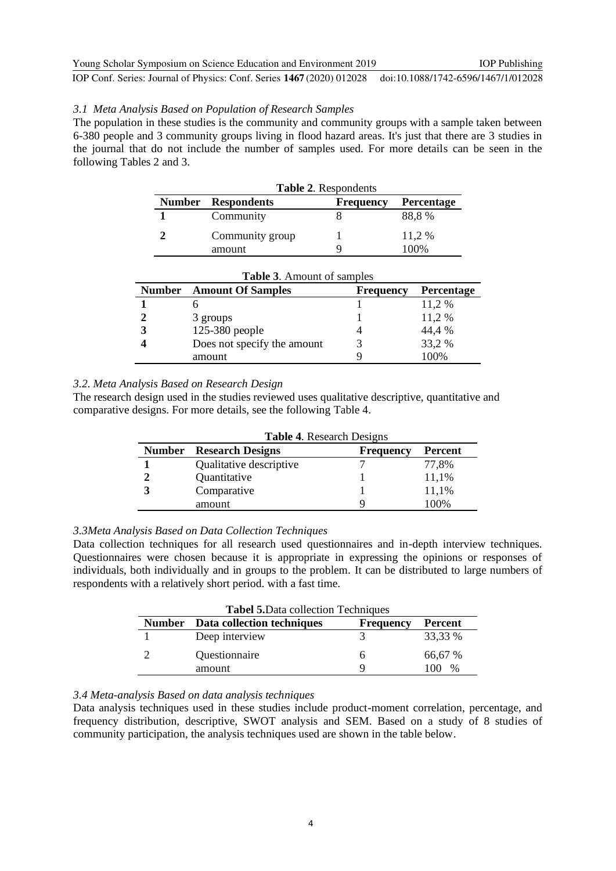IOP Conf. Series: Journal of Physics: Conf. Series **1467** (2020) 012028 doi:10.1088/1742-6596/1467/1/012028

#### *3.1 Meta Analysis Based on Population of Research Samples*

The population in these studies is the community and community groups with a sample taken between 6-380 people and 3 community groups living in flood hazard areas. It's just that there are 3 studies in the journal that do not include the number of samples used. For more details can be seen in the following Tables 2 and 3.

| <b>Table 2.</b> Respondents |                    |                  |                   |
|-----------------------------|--------------------|------------------|-------------------|
| <b>Number</b>               | <b>Respondents</b> | <b>Frequency</b> | <b>Percentage</b> |
|                             | Community          |                  | 88,8%             |
|                             | Community group    |                  | 11.2 %            |
|                             | amount             |                  | 100%              |

| <b>Table 3.</b> Amount of samples |                             |                  |            |
|-----------------------------------|-----------------------------|------------------|------------|
| <b>Number</b>                     | <b>Amount Of Samples</b>    | <b>Frequency</b> | Percentage |
|                                   |                             |                  | 11,2 %     |
|                                   | 3 groups                    |                  | 11,2 %     |
|                                   | 125-380 people              |                  | 44,4 %     |
|                                   | Does not specify the amount | 3                | 33,2 %     |
|                                   | amount                      |                  | 100%       |

#### *3.2. Meta Analysis Based on Research Design*

The research design used in the studies reviewed uses qualitative descriptive, quantitative and comparative designs. For more details, see the following Table 4.

| <b>Table 4. Research Designs</b> |                         |                  |                |
|----------------------------------|-------------------------|------------------|----------------|
| <b>Number</b>                    | <b>Research Designs</b> | <b>Frequency</b> | <b>Percent</b> |
|                                  | Qualitative descriptive |                  | 77,8%          |
|                                  | Quantitative            |                  | 11,1%          |
|                                  | Comparative             |                  | 11,1%          |
|                                  | amount                  |                  | 100%           |

#### *3.3Meta Analysis Based on Data Collection Techniques*

Data collection techniques for all research used questionnaires and in-depth interview techniques. Questionnaires were chosen because it is appropriate in expressing the opinions or responses of individuals, both individually and in groups to the problem. It can be distributed to large numbers of respondents with a relatively short period. with a fast time.

| <b>Tabel 5.</b> Data collection Techniques |                            |                  |                |
|--------------------------------------------|----------------------------|------------------|----------------|
| <b>Number</b>                              | Data collection techniques | <b>Frequency</b> | <b>Percent</b> |
|                                            | Deep interview             |                  | 33,33 %        |
|                                            | Questionnaire              | h                | 66,67 %        |
|                                            | amount                     |                  | $\%$<br>10 N D |

#### *3.4 Meta-analysis Based on data analysis techniques*

Data analysis techniques used in these studies include product-moment correlation, percentage, and frequency distribution, descriptive, SWOT analysis and SEM. Based on a study of 8 studies of community participation, the analysis techniques used are shown in the table below.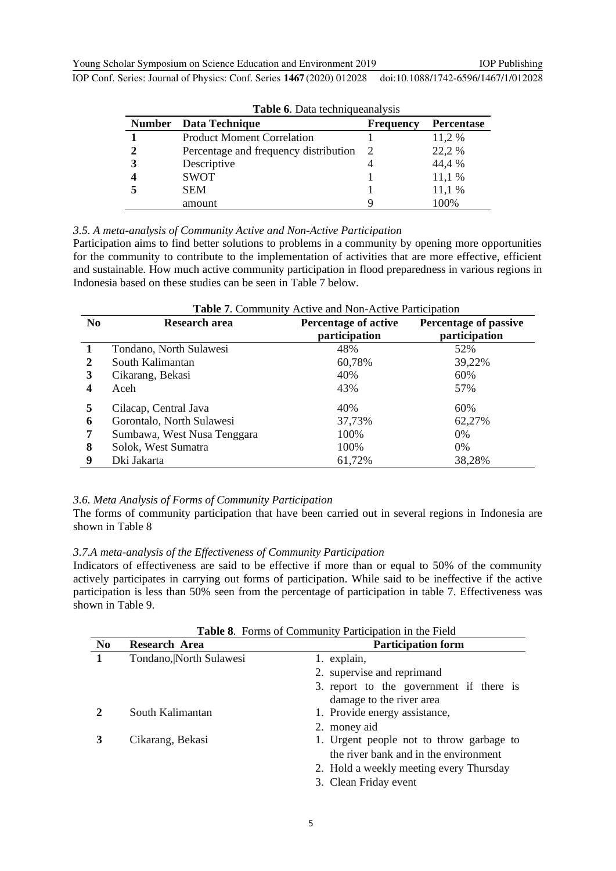#### IOP Publishing

## Young Scholar Symposium on Science Education and Environment 2019

IOP Conf. Series: Journal of Physics: Conf. Series **1467** (2020) 012028 doi:10.1088/1742-6596/1467/1/012028

| <b>Table 6.</b> Data technique analysis |                                       |                                                                                                                                                                                                                                                                                                                                                                                                                                                                                     |                   |
|-----------------------------------------|---------------------------------------|-------------------------------------------------------------------------------------------------------------------------------------------------------------------------------------------------------------------------------------------------------------------------------------------------------------------------------------------------------------------------------------------------------------------------------------------------------------------------------------|-------------------|
| <b>Number</b>                           | Data Technique                        | <b>Frequency</b>                                                                                                                                                                                                                                                                                                                                                                                                                                                                    | <b>Percentase</b> |
|                                         | <b>Product Moment Correlation</b>     |                                                                                                                                                                                                                                                                                                                                                                                                                                                                                     | 11,2 %            |
|                                         | Percentage and frequency distribution | $\mathcal{D}_{\mathcal{A}}^{\mathcal{A}}(\mathcal{A}) = \mathcal{D}_{\mathcal{A}}^{\mathcal{A}}(\mathcal{A}) = \mathcal{D}_{\mathcal{A}}^{\mathcal{A}}(\mathcal{A}) = \mathcal{D}_{\mathcal{A}}^{\mathcal{A}}(\mathcal{A}) = \mathcal{D}_{\mathcal{A}}^{\mathcal{A}}(\mathcal{A}) = \mathcal{D}_{\mathcal{A}}^{\mathcal{A}}(\mathcal{A}) = \mathcal{D}_{\mathcal{A}}^{\mathcal{A}}(\mathcal{A}) = \mathcal{D}_{\mathcal{A}}^{\mathcal{A}}(\mathcal{A}) = \mathcal{D}_{\mathcal{A}}$ | 22,2 %            |
|                                         | Descriptive                           |                                                                                                                                                                                                                                                                                                                                                                                                                                                                                     | 44,4 %            |
|                                         | <b>SWOT</b>                           |                                                                                                                                                                                                                                                                                                                                                                                                                                                                                     | 11,1%             |
|                                         | <b>SEM</b>                            |                                                                                                                                                                                                                                                                                                                                                                                                                                                                                     | 11,1%             |
|                                         | amount                                |                                                                                                                                                                                                                                                                                                                                                                                                                                                                                     | 100%              |

| Table 6. Data techniqueanalysis |  |  |
|---------------------------------|--|--|
|                                 |  |  |

#### *3.5. A meta-analysis of Community Active and Non-Active Participation*

Participation aims to find better solutions to problems in a community by opening more opportunities for the community to contribute to the implementation of activities that are more effective, efficient and sustainable. How much active community participation in flood preparedness in various regions in Indonesia based on these studies can be seen in Table 7 below.

#### **Table 7**. Community Active and Non-Active Participation

| N <sub>0</sub> | <b>Research area</b>        | <b>Percentage of active</b><br>participation | Percentage of passive<br>participation |
|----------------|-----------------------------|----------------------------------------------|----------------------------------------|
|                | Tondano, North Sulawesi     | 48%                                          | 52%                                    |
| $\overline{2}$ | South Kalimantan            | 60,78%                                       | 39,22%                                 |
| 3              | Cikarang, Bekasi            | 40%                                          | 60%                                    |
| 4              | Aceh                        | 43%                                          | 57%                                    |
| 5              | Cilacap, Central Java       | 40%                                          | 60%                                    |
| 6              | Gorontalo, North Sulawesi   | 37,73%                                       | 62,27%                                 |
| 7              | Sumbawa, West Nusa Tenggara | 100%                                         | $0\%$                                  |
| 8              | Solok, West Sumatra         | 100%                                         | $0\%$                                  |
| 9              | Dki Jakarta                 | 61,72%                                       | 38,28%                                 |

#### *3.6. Meta Analysis of Forms of Community Participation*

The forms of community participation that have been carried out in several regions in Indonesia are shown in Table 8

#### *3.7.A meta-analysis of the Effectiveness of Community Participation*

Indicators of effectiveness are said to be effective if more than or equal to 50% of the community actively participates in carrying out forms of participation. While said to be ineffective if the active participation is less than 50% seen from the percentage of participation in table 7. Effectiveness was shown in Table 9.

| N <sub>0</sub> | <b>Research Area</b>    | <b>Table 8.</b> FOLIDS OF COMMUNITY FAILICIPATION IN THE FIELD<br><b>Participation form</b> |
|----------------|-------------------------|---------------------------------------------------------------------------------------------|
|                | Tondano, North Sulawesi | 1. explain,                                                                                 |
|                |                         | 2. supervise and reprimand                                                                  |
|                |                         | 3. report to the government if there is<br>damage to the river area                         |
|                | South Kalimantan        | 1. Provide energy assistance,                                                               |
|                |                         | 2. money aid                                                                                |
|                | Cikarang, Bekasi        | 1. Urgent people not to throw garbage to<br>the river bank and in the environment           |
|                |                         | 2. Hold a weekly meeting every Thursday                                                     |
|                |                         | 3. Clean Friday event                                                                       |

**Table 8**. Forms of Community Participation in the Field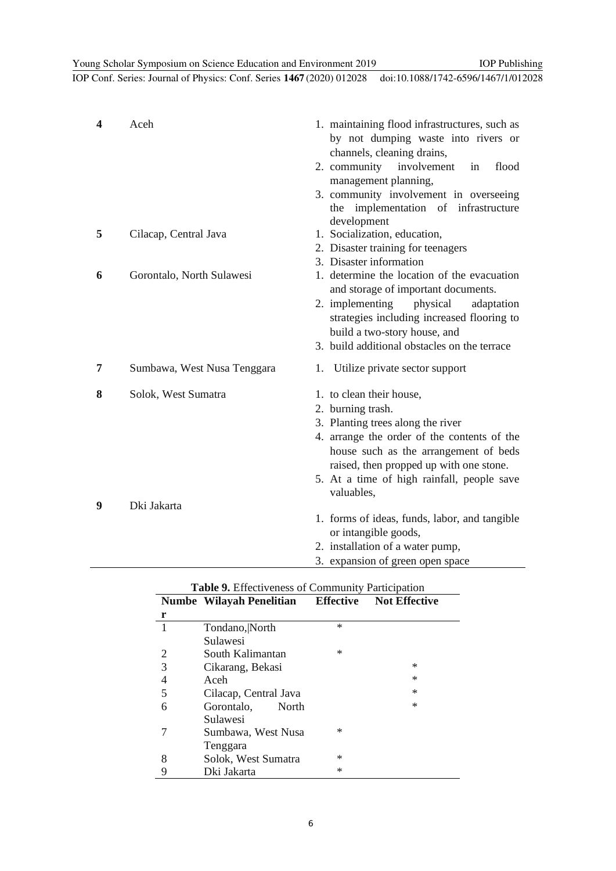IOP Publishing

| IOP Conf. Series: Journal of Physics: Conf. Series 1467 (2020) 012028 doi:10.1088/1742-6596/1467/1/012028 |  |
|-----------------------------------------------------------------------------------------------------------|--|
|-----------------------------------------------------------------------------------------------------------|--|

| $\boldsymbol{4}$ | Aceh                        | 1. maintaining flood infrastructures, such as<br>by not dumping waste into rivers or<br>channels, cleaning drains,<br>2. community involvement<br>flood<br>in<br>management planning,<br>3. community involvement in overseeing<br>implementation of infrastructure<br>the<br>development |
|------------------|-----------------------------|-------------------------------------------------------------------------------------------------------------------------------------------------------------------------------------------------------------------------------------------------------------------------------------------|
| 5                | Cilacap, Central Java       | 1. Socialization, education,<br>2. Disaster training for teenagers                                                                                                                                                                                                                        |
| 6                | Gorontalo, North Sulawesi   | 3. Disaster information<br>1. determine the location of the evacuation<br>and storage of important documents.<br>2. implementing<br>physical<br>adaptation<br>strategies including increased flooring to<br>build a two-story house, and<br>3. build additional obstacles on the terrace  |
| 7                | Sumbawa, West Nusa Tenggara | 1. Utilize private sector support                                                                                                                                                                                                                                                         |
| 8                | Solok, West Sumatra         | 1. to clean their house,<br>2. burning trash.<br>3. Planting trees along the river<br>4. arrange the order of the contents of the<br>house such as the arrangement of beds<br>raised, then propped up with one stone.<br>5. At a time of high rainfall, people save<br>valuables,         |
| 9                | Dki Jakarta                 | 1. forms of ideas, funds, labor, and tangible<br>or intangible goods,                                                                                                                                                                                                                     |

- 2. installation of a water pump,
- 3. expansion of green open space

|   | <b>Numbe</b> Wilayah Penelitian | <b>Effective</b> | <b>Not Effective</b> |
|---|---------------------------------|------------------|----------------------|
| r |                                 |                  |                      |
|   | Tondano, North                  | $\ast$           |                      |
|   | Sulawesi                        |                  |                      |
| 2 | South Kalimantan                | $\ast$           |                      |
| 3 | Cikarang, Bekasi                |                  | $\ast$               |
|   | Aceh                            |                  | $\ast$               |
| 5 | Cilacap, Central Java           |                  | *                    |
| 6 | Gorontalo.<br>North             |                  | $\ast$               |
|   | Sulawesi                        |                  |                      |
|   | Sumbawa, West Nusa              | $\ast$           |                      |
|   | Tenggara                        |                  |                      |
| 8 | Solok, West Sumatra             | $\ast$           |                      |
|   | Dki Jakarta                     | $\ast$           |                      |

| Table 9. Effectiveness of Community Participation |                  |                      |
|---------------------------------------------------|------------------|----------------------|
| mbe Wilayah Penelitian                            | <b>Effective</b> | <b>Not Effective</b> |

6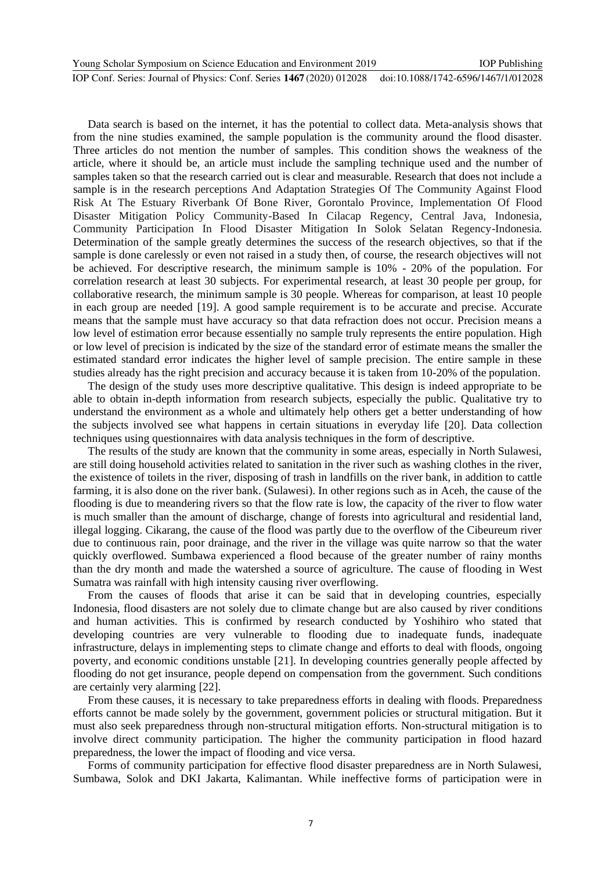Data search is based on the internet, it has the potential to collect data. Meta-analysis shows that from the nine studies examined, the sample population is the community around the flood disaster. Three articles do not mention the number of samples. This condition shows the weakness of the article, where it should be, an article must include the sampling technique used and the number of samples taken so that the research carried out is clear and measurable. Research that does not include a sample is in the research perceptions And Adaptation Strategies Of The Community Against Flood Risk At The Estuary Riverbank Of Bone River, Gorontalo Province, Implementation Of Flood Disaster Mitigation Policy Community-Based In Cilacap Regency, Central Java, Indonesia, Community Participation In Flood Disaster Mitigation In Solok Selatan Regency-Indonesia*.* Determination of the sample greatly determines the success of the research objectives, so that if the sample is done carelessly or even not raised in a study then, of course, the research objectives will not be achieved. For descriptive research, the minimum sample is 10% - 20% of the population. For correlation research at least 30 subjects. For experimental research, at least 30 people per group, for collaborative research, the minimum sample is 30 people. Whereas for comparison, at least 10 people in each group are needed [19]. A good sample requirement is to be accurate and precise. Accurate means that the sample must have accuracy so that data refraction does not occur. Precision means a low level of estimation error because essentially no sample truly represents the entire population. High or low level of precision is indicated by the size of the standard error of estimate means the smaller the estimated standard error indicates the higher level of sample precision. The entire sample in these studies already has the right precision and accuracy because it is taken from 10-20% of the population.

The design of the study uses more descriptive qualitative. This design is indeed appropriate to be able to obtain in-depth information from research subjects, especially the public. Qualitative try to understand the environment as a whole and ultimately help others get a better understanding of how the subjects involved see what happens in certain situations in everyday life [20]. Data collection techniques using questionnaires with data analysis techniques in the form of descriptive.

The results of the study are known that the community in some areas, especially in North Sulawesi, are still doing household activities related to sanitation in the river such as washing clothes in the river, the existence of toilets in the river, disposing of trash in landfills on the river bank, in addition to cattle farming, it is also done on the river bank. (Sulawesi). In other regions such as in Aceh, the cause of the flooding is due to meandering rivers so that the flow rate is low, the capacity of the river to flow water is much smaller than the amount of discharge, change of forests into agricultural and residential land, illegal logging. Cikarang, the cause of the flood was partly due to the overflow of the Cibeureum river due to continuous rain, poor drainage, and the river in the village was quite narrow so that the water quickly overflowed. Sumbawa experienced a flood because of the greater number of rainy months than the dry month and made the watershed a source of agriculture. The cause of flooding in West Sumatra was rainfall with high intensity causing river overflowing.

From the causes of floods that arise it can be said that in developing countries, especially Indonesia, flood disasters are not solely due to climate change but are also caused by river conditions and human activities. This is confirmed by research conducted by Yoshihiro who stated that developing countries are very vulnerable to flooding due to inadequate funds, inadequate infrastructure, delays in implementing steps to climate change and efforts to deal with floods, ongoing poverty, and economic conditions unstable [21]. In developing countries generally people affected by flooding do not get insurance, people depend on compensation from the government. Such conditions are certainly very alarming [22].

From these causes, it is necessary to take preparedness efforts in dealing with floods. Preparedness efforts cannot be made solely by the government, government policies or structural mitigation. But it must also seek preparedness through non-structural mitigation efforts. Non-structural mitigation is to involve direct community participation. The higher the community participation in flood hazard preparedness, the lower the impact of flooding and vice versa.

Forms of community participation for effective flood disaster preparedness are in North Sulawesi, Sumbawa, Solok and DKI Jakarta, Kalimantan. While ineffective forms of participation were in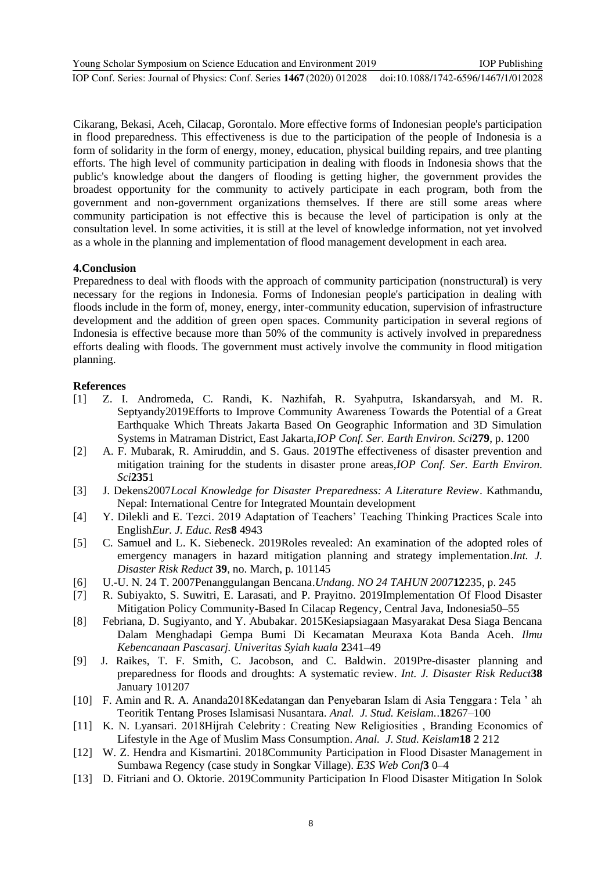Cikarang, Bekasi, Aceh, Cilacap, Gorontalo. More effective forms of Indonesian people's participation in flood preparedness. This effectiveness is due to the participation of the people of Indonesia is a form of solidarity in the form of energy, money, education, physical building repairs, and tree planting efforts. The high level of community participation in dealing with floods in Indonesia shows that the public's knowledge about the dangers of flooding is getting higher, the government provides the broadest opportunity for the community to actively participate in each program, both from the government and non-government organizations themselves. If there are still some areas where community participation is not effective this is because the level of participation is only at the consultation level. In some activities, it is still at the level of knowledge information, not yet involved as a whole in the planning and implementation of flood management development in each area.

#### **4.Conclusion**

Preparedness to deal with floods with the approach of community participation (nonstructural) is very necessary for the regions in Indonesia. Forms of Indonesian people's participation in dealing with floods include in the form of, money, energy, inter-community education, supervision of infrastructure development and the addition of green open spaces. Community participation in several regions of Indonesia is effective because more than 50% of the community is actively involved in preparedness efforts dealing with floods. The government must actively involve the community in flood mitigation planning.

#### **References**

- [1] Z. I. Andromeda, C. Randi, K. Nazhifah, R. Syahputra, Iskandarsyah, and M. R. Septyandy2019Efforts to Improve Community Awareness Towards the Potential of a Great Earthquake Which Threats Jakarta Based On Geographic Information and 3D Simulation Systems in Matraman District, East Jakarta,*IOP Conf. Ser. Earth Environ. Sci***279**, p. 1200
- [2] A. F. Mubarak, R. Amiruddin, and S. Gaus. 2019The effectiveness of disaster prevention and mitigation training for the students in disaster prone areas,*IOP Conf. Ser. Earth Environ. Sci***235**1
- [3] J. Dekens2007*Local Knowledge for Disaster Preparedness: A Literature Review*. Kathmandu, Nepal: International Centre for Integrated Mountain development
- [4] Y. Dilekli and E. Tezci. 2019 Adaptation of Teachers' Teaching Thinking Practices Scale into English*Eur. J. Educ. Res***8** 4943
- [5] C. Samuel and L. K. Siebeneck. 2019Roles revealed: An examination of the adopted roles of emergency managers in hazard mitigation planning and strategy implementation.*Int. J. Disaster Risk Reduct* **39**, no. March, p. 101145
- [6] U.-U. N. 24 T. 2007Penanggulangan Bencana.*Undang. NO 24 TAHUN 2007***12**235, p. 245
- [7] R. Subiyakto, S. Suwitri, E. Larasati, and P. Prayitno. 2019Implementation Of Flood Disaster Mitigation Policy Community-Based In Cilacap Regency, Central Java, Indonesia50–55
- [8] Febriana, D. Sugiyanto, and Y. Abubakar. 2015Kesiapsiagaan Masyarakat Desa Siaga Bencana Dalam Menghadapi Gempa Bumi Di Kecamatan Meuraxa Kota Banda Aceh. *Ilmu Kebencanaan Pascasarj. Univeritas Syiah kuala* **2**341–49
- [9] J. Raikes, T. F. Smith, C. Jacobson, and C. Baldwin. 2019Pre-disaster planning and preparedness for floods and droughts: A systematic review. *Int. J. Disaster Risk Reduct***38** January 101207
- [10] F. Amin and R. A. Ananda2018Kedatangan dan Penyebaran Islam di Asia Tenggara : Tela ' ah Teoritik Tentang Proses Islamisasi Nusantara. *Anal. J. Stud. Keislam.*.**18**267–100
- [11] K. N. Lyansari. 2018Hijrah Celebrity : Creating New Religiosities , Branding Economics of Lifestyle in the Age of Muslim Mass Consumption. *Anal. J. Stud. Keislam***18** 2 212
- [12] W. Z. Hendra and Kismartini. 2018Community Participation in Flood Disaster Management in Sumbawa Regency (case study in Songkar Village). *E3S Web Conf***3** 0–4
- [13] D. Fitriani and O. Oktorie. 2019Community Participation In Flood Disaster Mitigation In Solok